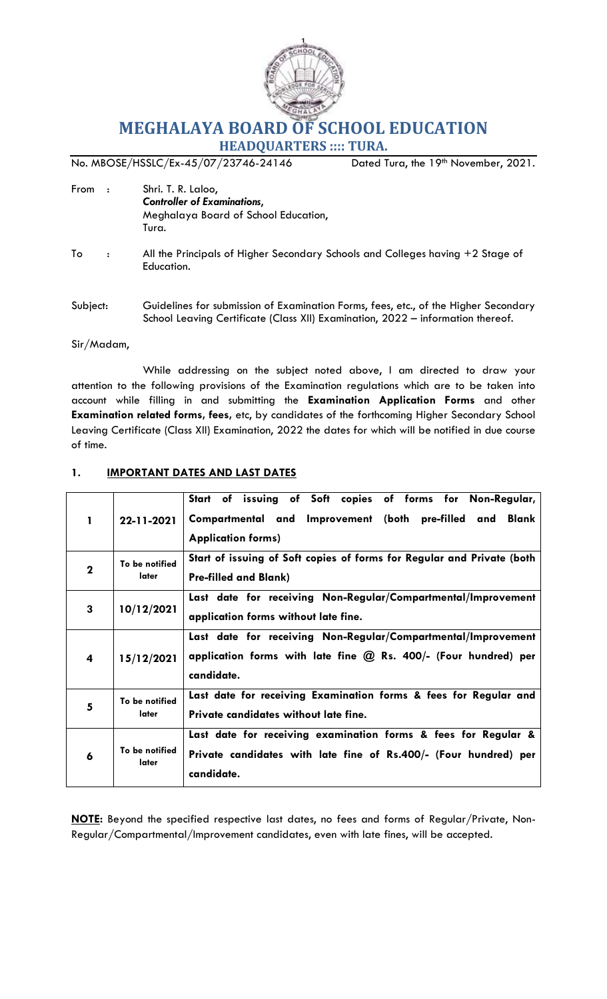

# **MEGHALAYA BOARD OF SCHOOL EDUCATION**

**HEADQUARTERS :::: TURA.**

No. MBOSE/HSSLC/Ex-45/07/23746-24146 Dated Tura, the 19<sup>th</sup> November, 2021.

- From : Shri. T. R. Laloo, *Controller of Examinations*, Meghalaya Board of School Education, Tura.
- To : All the Principals of Higher Secondary Schools and Colleges having +2 Stage of Education.
- Subject: Guidelines for submission of Examination Forms, fees, etc., of the Higher Secondary School Leaving Certificate (Class XII) Examination, 2022 – information thereof.

#### Sir/Madam,

While addressing on the subject noted above, I am directed to draw your attention to the following provisions of the Examination regulations which are to be taken into account while filling in and submitting the **Examination Application Forms** and other **Examination related forms, fees,** etc, by candidates of the forthcoming Higher Secondary School Leaving Certificate (Class XII) Examination, 2022 the dates for which will be notified in due course of time.

| 1           | 22-11-2021              | Start of issuing of Soft copies of forms for Non-Regular,<br>Compartmental and Improvement (both pre-filled and<br>Blank<br><b>Application forms)</b> |  |  |  |  |  |  |  |  |
|-------------|-------------------------|-------------------------------------------------------------------------------------------------------------------------------------------------------|--|--|--|--|--|--|--|--|
| $\mathbf 2$ | To be notified<br>later | Start of issuing of Soft copies of forms for Regular and Private (both<br><b>Pre-filled and Blank)</b>                                                |  |  |  |  |  |  |  |  |
| 3           | 10/12/2021              | Last date for receiving Non-Regular/Compartmental/Improvement<br>application forms without late fine.                                                 |  |  |  |  |  |  |  |  |
| 4           | 15/12/2021              | Last date for receiving Non-Regular/Compartmental/Improvement<br>application forms with late fine $@$ Rs. 400/- (Four hundred) per<br>candidate.      |  |  |  |  |  |  |  |  |
| 5           | To be notified<br>later | Last date for receiving Examination forms & fees for Regular and<br>Private candidates without late fine.                                             |  |  |  |  |  |  |  |  |
| 6           | To be notified<br>later | Last date for receiving examination forms & fees for Regular &<br>Private candidates with late fine of Rs.400/- (Four hundred) per<br>candidate.      |  |  |  |  |  |  |  |  |

# **1. IMPORTANT DATES AND LAST DATES**

**NOTE:** Beyond the specified respective last dates, no fees and forms of Regular/Private, Non-Regular/Compartmental/Improvement candidates, even with late fines, will be accepted.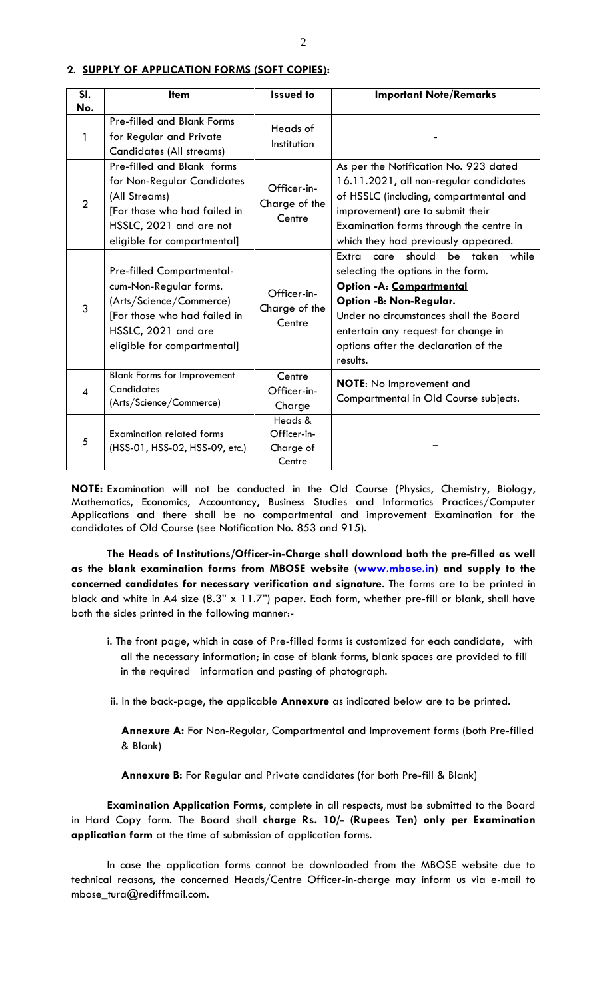| SI.                    | <b>Item</b>                        | <b>Issued to</b>        | <b>Important Note/Remarks</b>                |
|------------------------|------------------------------------|-------------------------|----------------------------------------------|
| No.                    |                                    |                         |                                              |
| 1                      | <b>Pre-filled and Blank Forms</b>  | Heads of                |                                              |
|                        | for Regular and Private            | Institution             |                                              |
|                        | <b>Candidates (All streams)</b>    |                         |                                              |
|                        | Pre-filled and Blank forms         |                         | As per the Notification No. 923 dated        |
|                        | for Non-Regular Candidates         | Officer-in-             | 16.11.2021, all non-regular candidates       |
| $\overline{2}$         | (All Streams)                      | Charge of the           | of HSSLC (including, compartmental and       |
|                        | [For those who had failed in       | Centre                  | improvement) are to submit their             |
|                        | HSSLC, 2021 and are not            |                         | Examination forms through the centre in      |
|                        | eligible for compartmental]        |                         | which they had previously appeared.          |
|                        |                                    |                         | Extra<br>should<br>be taken<br>while<br>care |
|                        | <b>Pre-filled Compartmental-</b>   |                         | selecting the options in the form.           |
|                        | cum-Non-Regular forms.             | Officer-in-             | Option - A: Compartmental                    |
|                        | (Arts/Science/Commerce)            | Charge of the<br>Centre | Option -B: Non-Regular.                      |
| 3                      | [For those who had failed in       |                         | Under no circumstances shall the Board       |
|                        | HSSLC, 2021 and are                |                         | entertain any request for change in          |
|                        | eligible for compartmental]        |                         | options after the declaration of the         |
|                        |                                    |                         | results.                                     |
|                        | <b>Blank Forms for Improvement</b> | Centre                  |                                              |
| $\boldsymbol{\Lambda}$ | Candidates                         | Officer-in-             | NOTE: No Improvement and                     |
|                        | (Arts/Science/Commerce)            | Charge                  | Compartmental in Old Course subjects.        |
|                        |                                    | Heads &                 |                                              |
| 5                      | <b>Examination related forms</b>   | Officer-in-             |                                              |
|                        | (HSS-01, HSS-02, HSS-09, etc.)     | Charge of               |                                              |
|                        |                                    | Centre                  |                                              |

#### **2**. **SUPPLY OF APPLICATION FORMS (SOFT COPIES):**

**NOTE:** Examination will not be conducted in the Old Course (Physics, Chemistry, Biology, Mathematics, Economics, Accountancy, Business Studies and Informatics Practices/Computer Applications and there shall be no compartmental and improvement Examination for the candidates of Old Course (see Notification No. 853 and 915).

T**he Heads of Institutions/Officer-in-Charge shall download both the pre-filled as well as the blank examination forms from MBOSE website [\(www.mbose.in\)](http://www.mbose.in/) and supply to the concerned candidates for necessary verification and signature**. The forms are to be printed in black and white in A4 size (8.3" x 11.7") paper. Each form, whether pre-fill or blank, shall have both the sides printed in the following manner:-

- i. The front page, which in case of Pre-filled forms is customized for each candidate, with all the necessary information; in case of blank forms, blank spaces are provided to fill in the required information and pasting of photograph.
- ii. In the back-page, the applicable **Annexure** as indicated below are to be printed.

**Annexure A:** For Non-Regular, Compartmental and Improvement forms (both Pre-filled & Blank)

**Annexure B:** For Regular and Private candidates (for both Pre-fill & Blank)

**Examination Application Forms**, complete in all respects, must be submitted to the Board in Hard Copy form. The Board shall **charge Rs. 10/- (Rupees Ten) only per Examination application form** at the time of submission of application forms.

In case the application forms cannot be downloaded from the MBOSE website due to technical reasons, the concerned Heads/Centre Officer-in-charge may inform us via e-mail to mbose\_tura@rediffmail.com.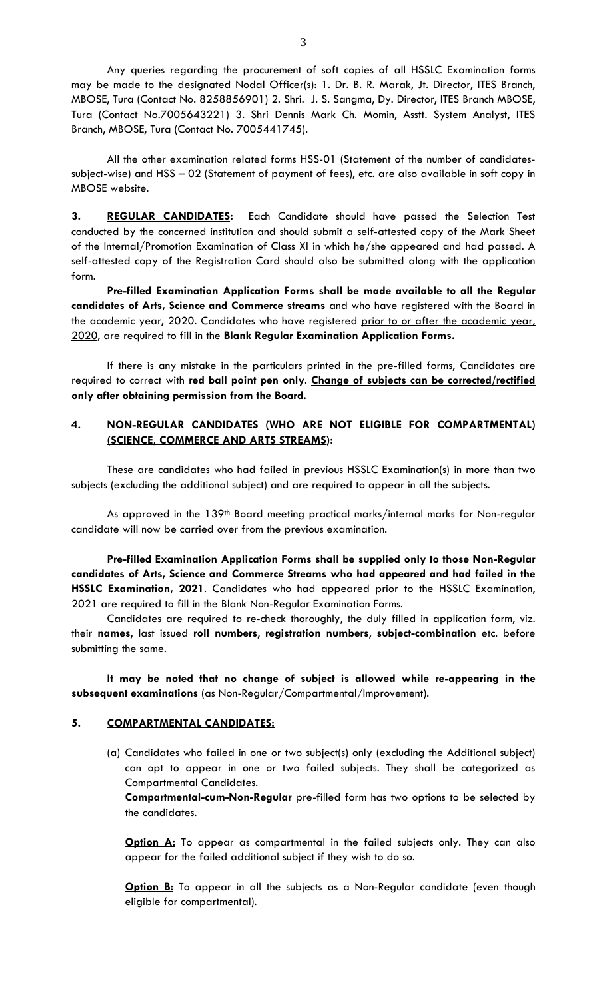Any queries regarding the procurement of soft copies of all HSSLC Examination forms may be made to the designated Nodal Officer(s): 1. Dr. B. R. Marak, Jt. Director, ITES Branch, MBOSE, Tura (Contact No. 8258856901) 2. Shri. J. S. Sangma, Dy. Director, ITES Branch MBOSE, Tura (Contact No.7005643221) 3. Shri Dennis Mark Ch. Momin, Asstt. System Analyst, ITES Branch, MBOSE, Tura (Contact No. 7005441745).

All the other examination related forms HSS-01 (Statement of the number of candidatessubject-wise) and HSS – 02 (Statement of payment of fees), etc. are also available in soft copy in MBOSE website.

**3. REGULAR CANDIDATES:** Each Candidate should have passed the Selection Test conducted by the concerned institution and should submit a self-attested copy of the Mark Sheet of the Internal/Promotion Examination of Class XI in which he/she appeared and had passed. A self-attested copy of the Registration Card should also be submitted along with the application form.

**Pre-filled Examination Application Forms shall be made available to all the Regular candidates of Arts, Science and Commerce streams** and who have registered with the Board in the academic year, 2020. Candidates who have registered prior to or after the academic year, 2020, are required to fill in the **Blank Regular Examination Application Forms.** 

If there is any mistake in the particulars printed in the pre-filled forms, Candidates are required to correct with **red ball point pen only**. **Change of subjects can be corrected/rectified only after obtaining permission from the Board.**

# **4. NON-REGULAR CANDIDATES (WHO ARE NOT ELIGIBLE FOR COMPARTMENTAL) (SCIENCE, COMMERCE AND ARTS STREAMS):**

These are candidates who had failed in previous HSSLC Examination(s) in more than two subjects (excluding the additional subject) and are required to appear in all the subjects.

As approved in the 139<sup>th</sup> Board meeting practical marks/internal marks for Non-regular candidate will now be carried over from the previous examination.

 **Pre-filled Examination Application Forms shall be supplied only to those Non-Regular candidates of Arts, Science and Commerce Streams who had appeared and had failed in the HSSLC Examination, 2021**. Candidates who had appeared prior to the HSSLC Examination, 2021 are required to fill in the Blank Non-Regular Examination Forms.

Candidates are required to re-check thoroughly, the duly filled in application form, viz. their **names**, last issued **roll numbers**, **registration numbers**, **subject-combination** etc. before submitting the same.

**It may be noted that no change of subject is allowed while re-appearing in the subsequent examinations** (as Non-Regular/Compartmental/Improvement).

# **5. COMPARTMENTAL CANDIDATES:**

(a) Candidates who failed in one or two subject(s) only (excluding the Additional subject) can opt to appear in one or two failed subjects. They shall be categorized as Compartmental Candidates.

**Compartmental-cum-Non-Regular** pre-filled form has two options to be selected by the candidates.

**Option A:** To appear as compartmental in the failed subjects only. They can also appear for the failed additional subject if they wish to do so.

**Option B:** To appear in all the subjects as a Non-Regular candidate (even though eligible for compartmental).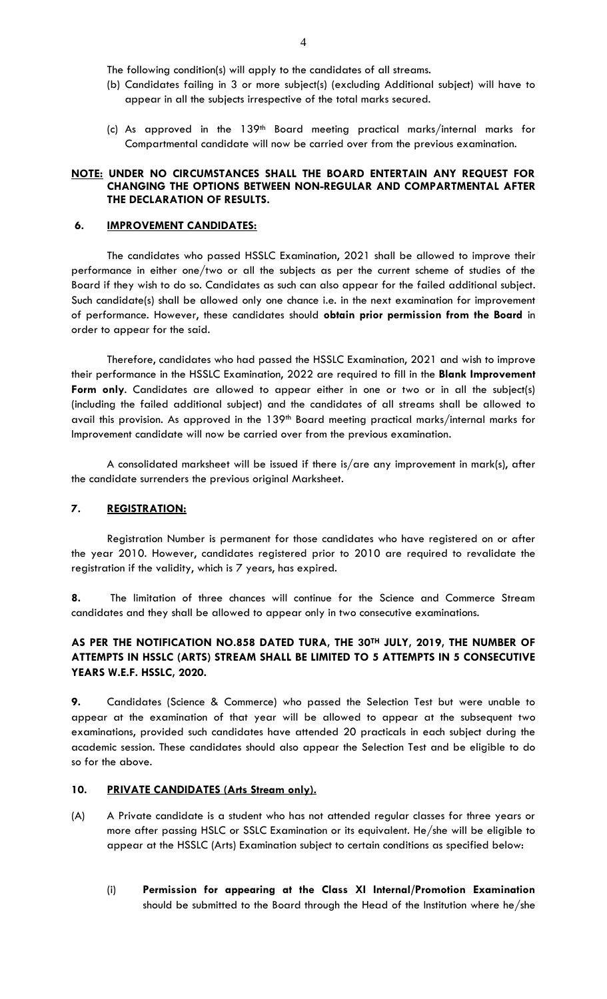The following condition(s) will apply to the candidates of all streams.

- (b) Candidates failing in 3 or more subject(s) (excluding Additional subject) will have to appear in all the subjects irrespective of the total marks secured.
- (c) As approved in the  $139<sup>th</sup>$  Board meeting practical marks/internal marks for Compartmental candidate will now be carried over from the previous examination.

#### **NOTE: UNDER NO CIRCUMSTANCES SHALL THE BOARD ENTERTAIN ANY REQUEST FOR CHANGING THE OPTIONS BETWEEN NON-REGULAR AND COMPARTMENTAL AFTER THE DECLARATION OF RESULTS.**

#### **6. IMPROVEMENT CANDIDATES:**

The candidates who passed HSSLC Examination, 2021 shall be allowed to improve their performance in either one/two or all the subjects as per the current scheme of studies of the Board if they wish to do so. Candidates as such can also appear for the failed additional subject. Such candidate(s) shall be allowed only one chance i.e. in the next examination for improvement of performance. However, these candidates should **obtain prior permission from the Board** in order to appear for the said.

Therefore, candidates who had passed the HSSLC Examination, 2021 and wish to improve their performance in the HSSLC Examination, 2022 are required to fill in the **Blank Improvement Form only**. Candidates are allowed to appear either in one or two or in all the subject(s) (including the failed additional subject) and the candidates of all streams shall be allowed to avail this provision. As approved in the 139<sup>th</sup> Board meeting practical marks/internal marks for Improvement candidate will now be carried over from the previous examination.

A consolidated marksheet will be issued if there is/are any improvement in mark(s), after the candidate surrenders the previous original Marksheet.

# **7. REGISTRATION:**

Registration Number is permanent for those candidates who have registered on or after the year 2010. However, candidates registered prior to 2010 are required to revalidate the registration if the validity, which is 7 years, has expired.

**8.** The limitation of three chances will continue for the Science and Commerce Stream candidates and they shall be allowed to appear only in two consecutive examinations.

# **AS PER THE NOTIFICATION NO.858 DATED TURA, THE 30TH JULY, 2019, THE NUMBER OF ATTEMPTS IN HSSLC (ARTS) STREAM SHALL BE LIMITED TO 5 ATTEMPTS IN 5 CONSECUTIVE YEARS W.E.F. HSSLC, 2020.**

**9.** Candidates (Science & Commerce) who passed the Selection Test but were unable to appear at the examination of that year will be allowed to appear at the subsequent two examinations, provided such candidates have attended 20 practicals in each subject during the academic session. These candidates should also appear the Selection Test and be eligible to do so for the above.

#### **10. PRIVATE CANDIDATES (Arts Stream only).**

- (A) A Private candidate is a student who has not attended regular classes for three years or more after passing HSLC or SSLC Examination or its equivalent. He/she will be eligible to appear at the HSSLC (Arts) Examination subject to certain conditions as specified below:
	- (i) **Permission for appearing at the Class XI Internal/Promotion Examination** should be submitted to the Board through the Head of the Institution where he/she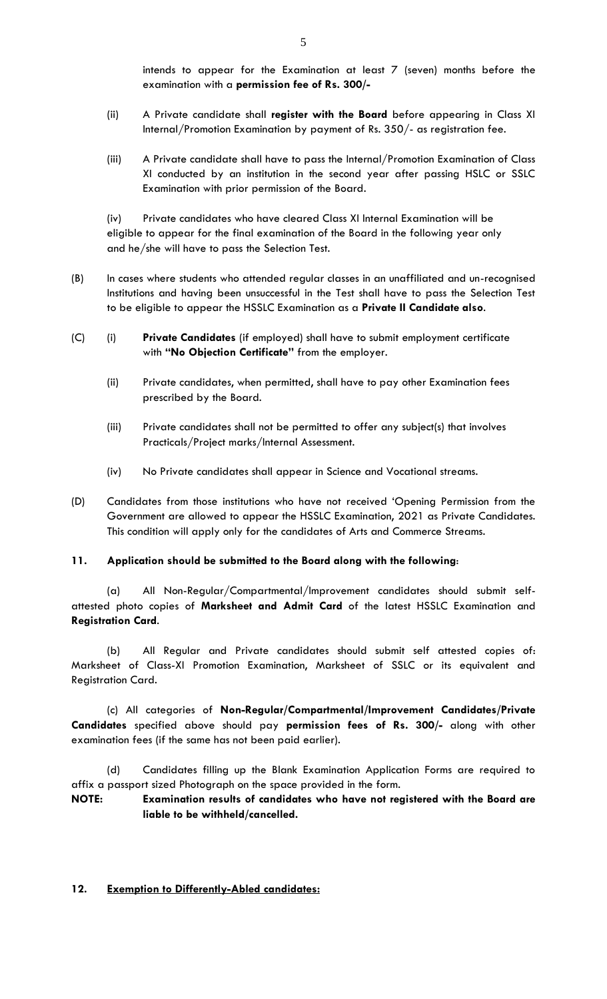intends to appear for the Examination at least 7 (seven) months before the examination with a **permission fee of Rs. 300/-**

- (ii) A Private candidate shall **register with the Board** before appearing in Class XI Internal/Promotion Examination by payment of Rs. 350/- as registration fee.
- (iii) A Private candidate shall have to pass the Internal/Promotion Examination of Class XI conducted by an institution in the second year after passing HSLC or SSLC Examination with prior permission of the Board.

(iv) Private candidates who have cleared Class XI Internal Examination will be eligible to appear for the final examination of the Board in the following year only and he/she will have to pass the Selection Test.

- (B) In cases where students who attended regular classes in an unaffiliated and un-recognised Institutions and having been unsuccessful in the Test shall have to pass the Selection Test to be eligible to appear the HSSLC Examination as a **Private II Candidate also**.
- (C) (i) **Private Candidates** (if employed) shall have to submit employment certificate with **"No Objection Certificate"** from the employer.
	- (ii) Private candidates, when permitted, shall have to pay other Examination fees prescribed by the Board.
	- (iii) Private candidates shall not be permitted to offer any subject(s) that involves Practicals/Project marks/Internal Assessment.
	- (iv) No Private candidates shall appear in Science and Vocational streams.
- (D) Candidates from those institutions who have not received "Opening Permission from the Government are allowed to appear the HSSLC Examination, 2021 as Private Candidates. This condition will apply only for the candidates of Arts and Commerce Streams.

#### **11. Application should be submitted to the Board along with the following**:

(a) All Non-Regular/Compartmental/Improvement candidates should submit selfattested photo copies of **Marksheet and Admit Card** of the latest HSSLC Examination and **Registration Card**.

(b) All Regular and Private candidates should submit self attested copies of: Marksheet of Class-XI Promotion Examination, Marksheet of SSLC or its equivalent and Registration Card.

(c) All categories of **Non-Regular/Compartmental/Improvement Candidates/Private Candidates** specified above should pay **permission fees of Rs. 300/-** along with other examination fees (if the same has not been paid earlier).

(d) Candidates filling up the Blank Examination Application Forms are required to affix a passport sized Photograph on the space provided in the form.

**NOTE: Examination results of candidates who have not registered with the Board are liable to be withheld/cancelled.**

# **12. Exemption to Differently-Abled candidates:**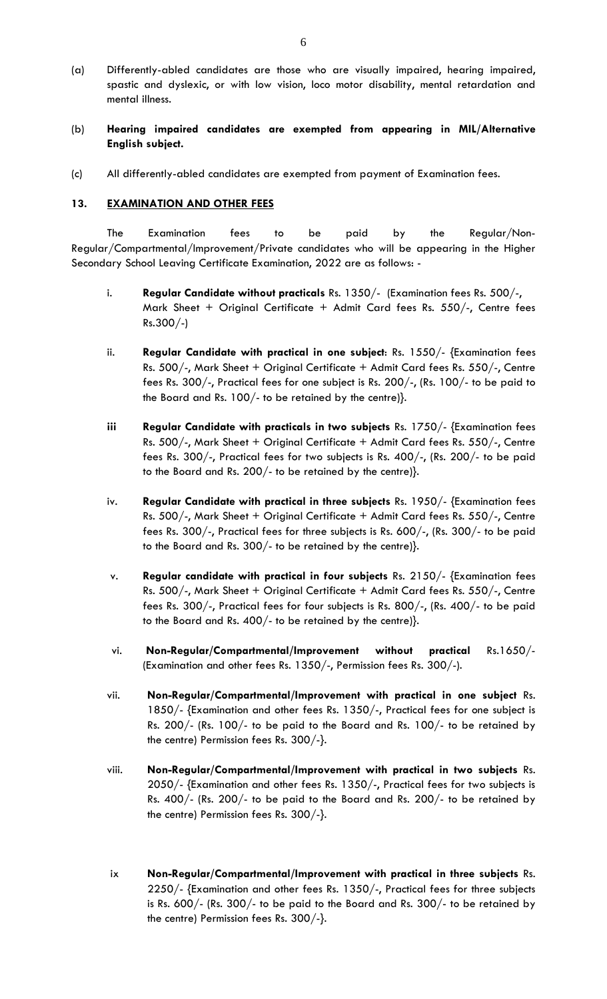- (a) Differently-abled candidates are those who are visually impaired, hearing impaired, spastic and dyslexic, or with low vision, loco motor disability, mental retardation and mental illness.
- (b) **Hearing impaired candidates are exempted from appearing in MIL/Alternative English subject.**
- (c) All differently-abled candidates are exempted from payment of Examination fees.

#### **13. EXAMINATION AND OTHER FEES**

The Examination fees to be paid by the Regular/Non-Regular/Compartmental/Improvement/Private candidates who will be appearing in the Higher Secondary School Leaving Certificate Examination, 2022 are as follows: -

- i. **Regular Candidate without practicals** Rs. 1350/- (Examination fees Rs. 500/-, Mark Sheet + Original Certificate + Admit Card fees Rs. 550/-, Centre fees Rs.300/-)
- ii. **Regular Candidate with practical in one subject**: Rs. 1550/- {Examination fees Rs. 500/-, Mark Sheet + Original Certificate + Admit Card fees Rs. 550/-, Centre fees Rs. 300/-, Practical fees for one subject is Rs. 200/-, (Rs. 100/- to be paid to the Board and Rs. 100/- to be retained by the centre)}.
- **iii Regular Candidate with practicals in two subjects** Rs. 1750/- {Examination fees Rs. 500/-, Mark Sheet + Original Certificate + Admit Card fees Rs. 550/-, Centre fees Rs. 300/-, Practical fees for two subjects is Rs. 400/-, (Rs. 200/- to be paid to the Board and Rs. 200/- to be retained by the centre)}.
- iv. **Regular Candidate with practical in three subjects** Rs. 1950/- {Examination fees Rs. 500/-, Mark Sheet + Original Certificate + Admit Card fees Rs. 550/-, Centre fees Rs. 300/-, Practical fees for three subjects is Rs. 600/-, (Rs. 300/- to be paid to the Board and Rs. 300/- to be retained by the centre)}.
- v. **Regular candidate with practical in four subjects** Rs. 2150/- {Examination fees Rs. 500/-, Mark Sheet + Original Certificate + Admit Card fees Rs. 550/-, Centre fees Rs. 300/-, Practical fees for four subjects is Rs. 800/-, (Rs. 400/- to be paid to the Board and Rs. 400/- to be retained by the centre)}.
- vi. **Non-Regular/Compartmental/Improvement without practical** Rs.1650/- (Examination and other fees Rs. 1350/-, Permission fees Rs. 300/-).
- vii. **Non-Regular/Compartmental/Improvement with practical in one subject** Rs. 1850/- {Examination and other fees Rs. 1350/-, Practical fees for one subject is Rs. 200/- (Rs. 100/- to be paid to the Board and Rs. 100/- to be retained by the centre) Permission fees Rs. 300/-}.
- viii. **Non-Regular/Compartmental/Improvement with practical in two subjects** Rs. 2050/- {Examination and other fees Rs. 1350/-, Practical fees for two subjects is Rs. 400/- (Rs. 200/- to be paid to the Board and Rs. 200/- to be retained by the centre) Permission fees Rs. 300/-}.
- ix **Non-Regular/Compartmental/Improvement with practical in three subjects** Rs. 2250/- {Examination and other fees Rs. 1350/-, Practical fees for three subjects is Rs. 600/- (Rs. 300/- to be paid to the Board and Rs. 300/- to be retained by the centre) Permission fees Rs. 300/-}.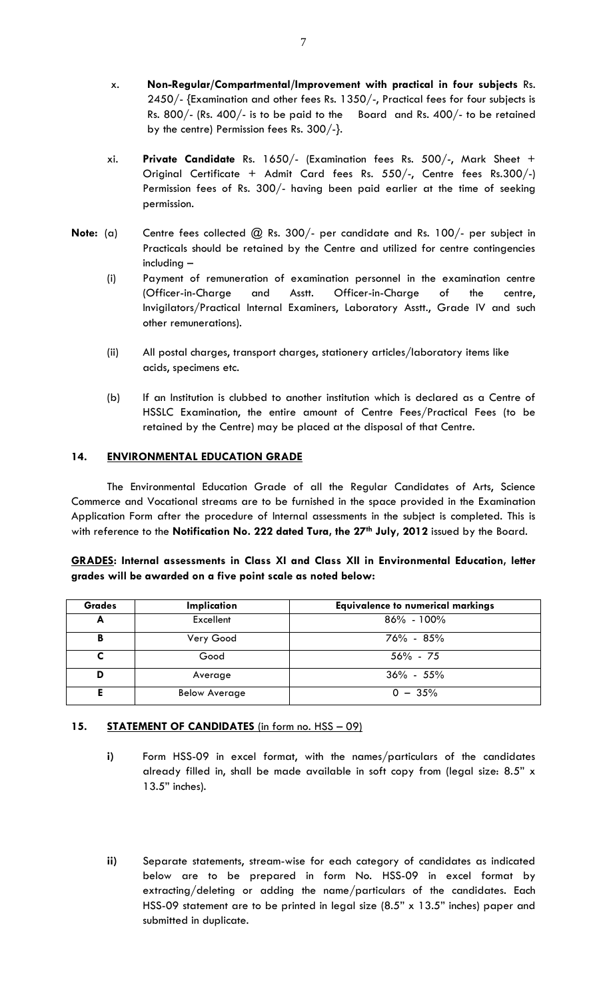- x. **Non-Regular/Compartmental/Improvement with practical in four subjects** Rs. 2450/- {Examination and other fees Rs. 1350/-, Practical fees for four subjects is Rs. 800/- (Rs. 400/- is to be paid to the Board and Rs. 400/- to be retained by the centre) Permission fees Rs. 300/-}.
- xi. **Private Candidate** Rs. 1650/- (Examination fees Rs. 500/-, Mark Sheet + Original Certificate + Admit Card fees Rs. 550/-, Centre fees Rs.300/-) Permission fees of Rs. 300/- having been paid earlier at the time of seeking permission.
- **Note:** (a) Centre fees collected @ Rs. 300/- per candidate and Rs. 100/- per subject in Practicals should be retained by the Centre and utilized for centre contingencies including –
	- (i) Payment of remuneration of examination personnel in the examination centre (Officer-in-Charge and Asstt. Officer-in-Charge of the centre, Invigilators/Practical Internal Examiners, Laboratory Asstt., Grade IV and such other remunerations).
	- (ii) All postal charges, transport charges, stationery articles/laboratory items like acids, specimens etc.
	- (b) If an Institution is clubbed to another institution which is declared as a Centre of HSSLC Examination, the entire amount of Centre Fees/Practical Fees (to be retained by the Centre) may be placed at the disposal of that Centre.

# **14. ENVIRONMENTAL EDUCATION GRADE**

The Environmental Education Grade of all the Regular Candidates of Arts, Science Commerce and Vocational streams are to be furnished in the space provided in the Examination Application Form after the procedure of Internal assessments in the subject is completed. This is with reference to the **Notification No. 222 dated Tura, the 27th July, 2012** issued by the Board.

|  |                                                              |  |  | <b>GRADES:</b> Internal assessments in Class XI and Class XII in Environmental Education, letter |  |
|--|--------------------------------------------------------------|--|--|--------------------------------------------------------------------------------------------------|--|
|  | grades will be awarded on a five point scale as noted below: |  |  |                                                                                                  |  |

| <b>Grades</b> | Implication          | <b>Equivalence to numerical markings</b> |
|---------------|----------------------|------------------------------------------|
| A             | Excellent            | $86\% - 100\%$                           |
| в             | Very Good            | $76\% - 85\%$                            |
|               | Good                 | $56\% - 75$                              |
| D             | Average              | $36\% - 55\%$                            |
|               | <b>Below Average</b> | $0 - 35%$                                |

# **15. STATEMENT OF CANDIDATES** (in form no. HSS – 09)

- **i)** Form HSS-09 in excel format, with the names/particulars of the candidates already filled in, shall be made available in soft copy from (legal size: 8.5" x 13.5" inches).
- **ii)** Separate statements, stream-wise for each category of candidates as indicated below are to be prepared in form No. HSS-09 in excel format by extracting/deleting or adding the name/particulars of the candidates. Each HSS-09 statement are to be printed in legal size (8.5" x 13.5" inches) paper and submitted in duplicate.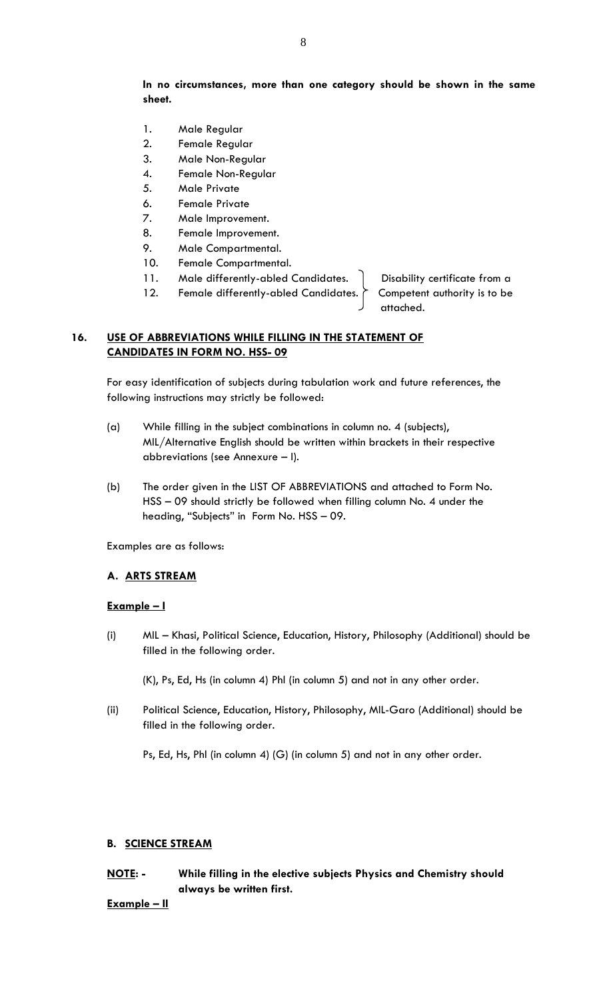# **In no circumstances, more than one category should be shown in the same sheet.**

- 1. Male Regular
- 2. Female Regular
- 3. Male Non-Regular
- 4. Female Non-Regular
- 5. Male Private
- 6. Female Private
- 7. Male Improvement.
- 8. Female Improvement.
- 9. Male Compartmental.
- 10. Female Compartmental.
- 11. Male differently-abled Candidates. | Disability certificate from a
- 12. Female differently-abled Candidates. Competent authority is to be

attached.

# **16. USE OF ABBREVIATIONS WHILE FILLING IN THE STATEMENT OF CANDIDATES IN FORM NO. HSS- 09**

For easy identification of subjects during tabulation work and future references, the following instructions may strictly be followed:

- (a) While filling in the subject combinations in column no. 4 (subjects), MIL/Alternative English should be written within brackets in their respective abbreviations (see Annexure – I).
- (b) The order given in the LIST OF ABBREVIATIONS and attached to Form No. HSS – 09 should strictly be followed when filling column No. 4 under the heading, "Subjects" in Form No. HSS – 09.

Examples are as follows:

#### **A. ARTS STREAM**

### **Example – I**

(i) MIL – Khasi, Political Science, Education, History, Philosophy (Additional) should be filled in the following order.

(K), Ps, Ed, Hs (in column 4) Phl (in column 5) and not in any other order.

(ii) Political Science, Education, History, Philosophy, MIL-Garo (Additional) should be filled in the following order.

Ps, Ed, Hs, Phl (in column 4) (G) (in column 5) and not in any other order.

#### **B. SCIENCE STREAM**

# **NOTE: - While filling in the elective subjects Physics and Chemistry should always be written first.**

#### **Example – II**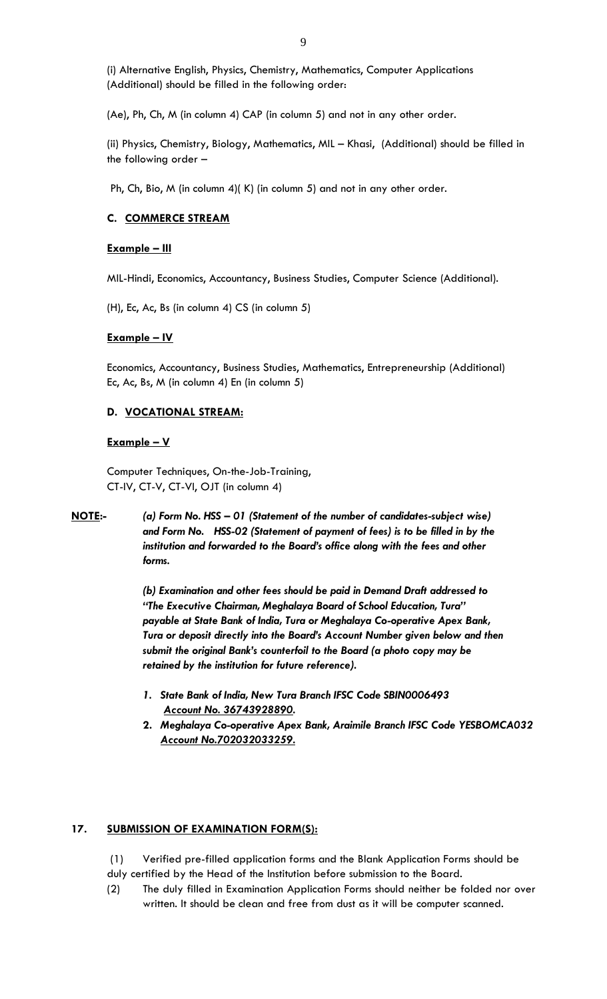(i) Alternative English, Physics, Chemistry, Mathematics, Computer Applications (Additional) should be filled in the following order:

(Ae), Ph, Ch, M (in column 4) CAP (in column 5) and not in any other order.

(ii) Physics, Chemistry, Biology, Mathematics, MIL – Khasi, (Additional) should be filled in the following order –

Ph, Ch, Bio, M (in column 4)( K) (in column 5) and not in any other order.

#### **C. COMMERCE STREAM**

#### **Example – III**

MIL-Hindi, Economics, Accountancy, Business Studies, Computer Science (Additional).

(H), Ec, Ac, Bs (in column 4) CS (in column 5)

#### **Example – IV**

Economics, Accountancy, Business Studies, Mathematics, Entrepreneurship (Additional) Ec, Ac, Bs, M (in column 4) En (in column 5)

#### **D. VOCATIONAL STREAM:**

#### **Example – V**

Computer Techniques, On-the-Job-Training, CT-IV, CT-V, CT-VI, OJT (in column 4)

**NOTE:-** *(a) Form No. HSS – 01 (Statement of the number of candidates-subject wise) and Form No. HSS-02 (Statement of payment of fees) is to be filled in by the institution and forwarded to the Board's office along with the fees and other forms.*

> *(b) Examination and other fees should be paid in Demand Draft addressed to "The Executive Chairman, Meghalaya Board of School Education, Tura" payable at State Bank of India, Tura or Meghalaya Co-operative Apex Bank, Tura or deposit directly into the Board's Account Number given below and then submit the original Bank's counterfoil to the Board (a photo copy may be retained by the institution for future reference).*

- *1. State Bank of India, New Tura Branch IFSC Code SBIN0006493 Account No. 36743928890.*
- **2.** *Meghalaya Co-operative Apex Bank, Araimile Branch IFSC Code YESBOMCA032 Account No.702032033259.*

#### **17. SUBMISSION OF EXAMINATION FORM(S):**

- (1) Verified pre-filled application forms and the Blank Application Forms should be
- duly certified by the Head of the Institution before submission to the Board.
- (2) The duly filled in Examination Application Forms should neither be folded nor over written. It should be clean and free from dust as it will be computer scanned.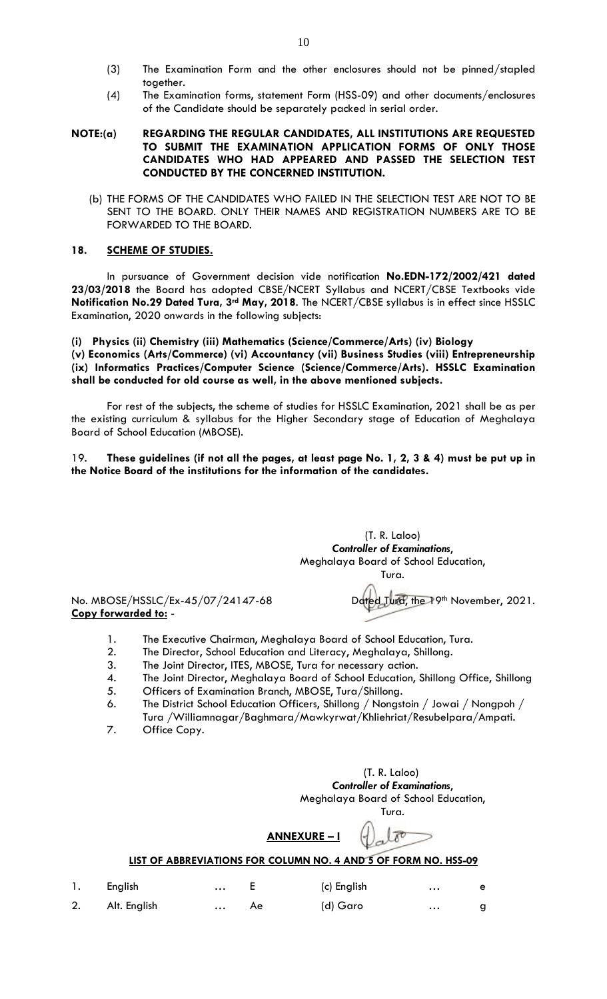- (3) The Examination Form and the other enclosures should not be pinned/stapled together.
- (4) The Examination forms, statement Form (HSS-09) and other documents/enclosures of the Candidate should be separately packed in serial order.

#### **NOTE:(a) REGARDING THE REGULAR CANDIDATES, ALL INSTITUTIONS ARE REQUESTED TO SUBMIT THE EXAMINATION APPLICATION FORMS OF ONLY THOSE CANDIDATES WHO HAD APPEARED AND PASSED THE SELECTION TEST CONDUCTED BY THE CONCERNED INSTITUTION.**

(b) THE FORMS OF THE CANDIDATES WHO FAILED IN THE SELECTION TEST ARE NOT TO BE SENT TO THE BOARD. ONLY THEIR NAMES AND REGISTRATION NUMBERS ARE TO BE FORWARDED TO THE BOARD.

#### **18. SCHEME OF STUDIES.**

In pursuance of Government decision vide notification **No.EDN-172/2002/421 dated 23/03/2018** the Board has adopted CBSE/NCERT Syllabus and NCERT/CBSE Textbooks vide **Notification No.29 Dated Tura, 3rd May, 2018**. The NCERT/CBSE syllabus is in effect since HSSLC Examination, 2020 onwards in the following subjects:

#### **(i) Physics (ii) Chemistry (iii) Mathematics (Science/Commerce/Arts) (iv) Biology (v) Economics (Arts/Commerce) (vi) Accountancy (vii) Business Studies (viii) Entrepreneurship (ix) Informatics Practices/Computer Science (Science/Commerce/Arts). HSSLC Examination shall be conducted for old course as well, in the above mentioned subjects.**

For rest of the subjects, the scheme of studies for HSSLC Examination, 2021 shall be as per the existing curriculum & syllabus for the Higher Secondary stage of Education of Meghalaya Board of School Education (MBOSE).

#### 19. **These guidelines (if not all the pages, at least page No. 1, 2, 3 & 4) must be put up in the Notice Board of the institutions for the information of the candidates.**

(T. R. Laloo) *Controller of Examinations*, Meghalaya Board of School Education, Tura.

No. MBOSE/HSSLC/Ex-45/07/24147-68 Dated Tura, the 19th November, 2021. **Copy forwarded to:** -

- 1. The Executive Chairman, Meghalaya Board of School Education, Tura.
- 2. The Director, School Education and Literacy, Meghalaya, Shillong.
- 3. The Joint Director, ITES, MBOSE, Tura for necessary action.
- 4. The Joint Director, Meghalaya Board of School Education, Shillong Office, Shillong
- 5. Officers of Examination Branch, MBOSE, Tura/Shillong.
- 6. The District School Education Officers, Shillong / Nongstoin / Jowai / Nongpoh / Tura /Williamnagar/Baghmara/Mawkyrwat/Khliehriat/Resubelpara/Ampati.
- 7. Office Copy.

 (T. R. Laloo) *Controller of Examinations*, Meghalaya Board of School Education, Tura.

 $\mathfrak{c}$ 

**ANNEXURE – I**

# **LIST OF ABBREVIATIONS FOR COLUMN NO. 4 AND 5 OF FORM NO. HSS-09**

| 1. English      | E  | (c) English | $\cdots$ | $\mathbf{e}$ |
|-----------------|----|-------------|----------|--------------|
| 2. Alt. English | Ae | (d) Garo    | $\cdots$ |              |